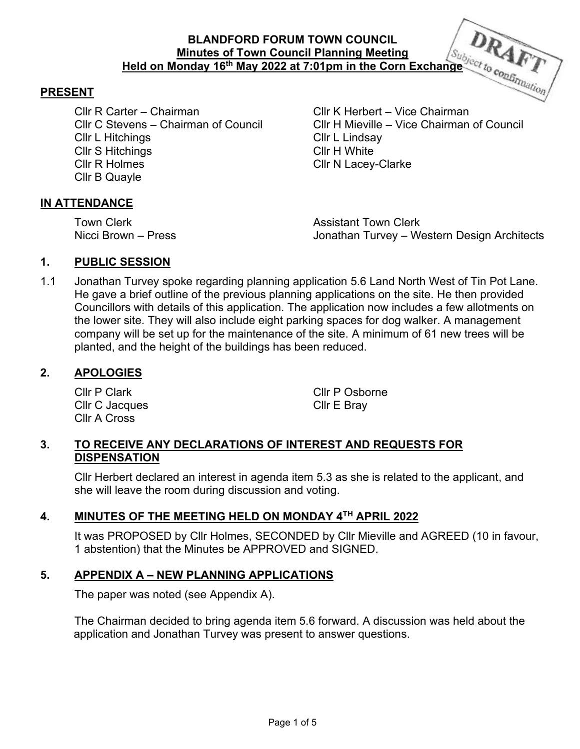# **BLANDFORD FORUM TOWN COUNCIL Minutes of Town Council Planning Meeting Held on Monday 16<sup>th</sup> May 2022 at 7:01pm in the Corn Exchange** *Subject to confirmation*

#### **PRESENT**

Cllr R Carter – Chairman Cllr K Herbert – Vice Chairman Cllr L Hitchings Cllr L Lindsay Cllr S Hitchings Cllr H White Cllr R Holmes Cllr N Lacey-Clarke Cllr B Quayle

Cllr C Stevens – Chairman of Council Cllr H Mieville – Vice Chairman of Council

### **IN ATTENDANCE**

**Town Clerk Assistant Town Clerk** Nicci Brown – Press Jonathan Turvey – Western Design Architects

# **1. PUBLIC SESSION**

1.1 Jonathan Turvey spoke regarding planning application 5.6 Land North West of Tin Pot Lane. He gave a brief outline of the previous planning applications on the site. He then provided Councillors with details of this application. The application now includes a few allotments on the lower site. They will also include eight parking spaces for dog walker. A management company will be set up for the maintenance of the site. A minimum of 61 new trees will be planted, and the height of the buildings has been reduced.

### **2. APOLOGIES**

 Cllr C Jacques Cllr E Bray Cllr A Cross

Cllr P Clark Cllr P Osborne

# **3. TO RECEIVE ANY DECLARATIONS OF INTEREST AND REQUESTS FOR DISPENSATION**

Cllr Herbert declared an interest in agenda item 5.3 as she is related to the applicant, and she will leave the room during discussion and voting.

# **4. MINUTES OF THE MEETING HELD ON MONDAY 4TH APRIL 2022**

It was PROPOSED by Cllr Holmes, SECONDED by Cllr Mieville and AGREED (10 in favour, 1 abstention) that the Minutes be APPROVED and SIGNED.

## **5. APPENDIX A – NEW PLANNING APPLICATIONS**

The paper was noted (see Appendix A).

The Chairman decided to bring agenda item 5.6 forward. A discussion was held about the application and Jonathan Turvey was present to answer questions.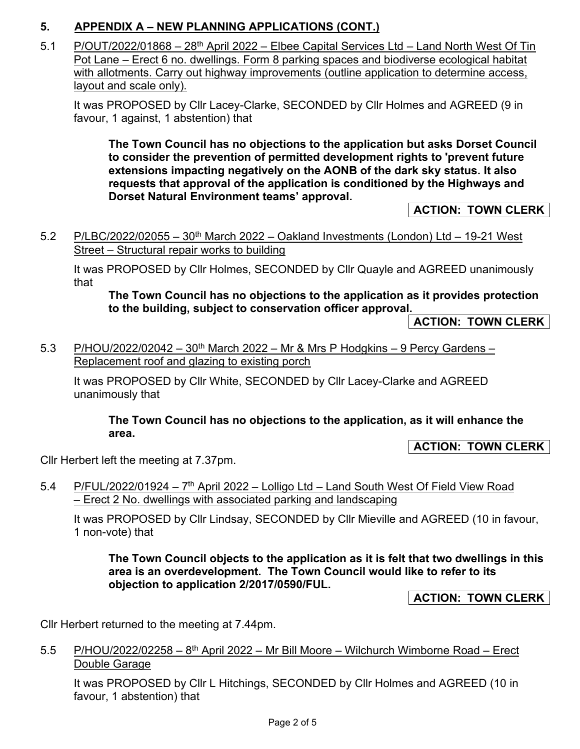# **5. APPENDIX A – NEW PLANNING APPLICATIONS (CONT.)**

5.1 P/OUT/2022/01868 - 28<sup>th</sup> April 2022 - Elbee Capital Services Ltd - Land North West Of Tin Pot Lane – Erect 6 no. dwellings. Form 8 parking spaces and biodiverse ecological habitat with allotments. Carry out highway improvements (outline application to determine access, layout and scale only).

It was PROPOSED by Cllr Lacey-Clarke, SECONDED by Cllr Holmes and AGREED (9 in favour, 1 against, 1 abstention) that

**The Town Council has no objections to the application but asks Dorset Council to consider the prevention of permitted development rights to 'prevent future extensions impacting negatively on the AONB of the dark sky status. It also requests that approval of the application is conditioned by the Highways and Dorset Natural Environment teams' approval.** 

**ACTION: TOWN CLERK** 

5.2 P/LBC/2022/02055 –  $30<sup>th</sup>$  March 2022 – Oakland Investments (London) Ltd – 19-21 West Street – Structural repair works to building

It was PROPOSED by Cllr Holmes, SECONDED by Cllr Quayle and AGREED unanimously that

**The Town Council has no objections to the application as it provides protection to the building, subject to conservation officer approval.** 

**ACTION: TOWN CLERK** 

5.3 P/HOU/2022/02042 – 30<sup>th</sup> March 2022 – Mr & Mrs P Hodgkins – 9 Percy Gardens – Replacement roof and glazing to existing porch

It was PROPOSED by Cllr White, SECONDED by Cllr Lacey-Clarke and AGREED unanimously that

**The Town Council has no objections to the application, as it will enhance the area.** 

**ACTION: TOWN CLERK** 

Cllr Herbert left the meeting at 7.37pm.

5.4 P/FUL/2022/01924 –  $7<sup>th</sup>$  April 2022 – Lolligo Ltd – Land South West Of Field View Road – Erect 2 No. dwellings with associated parking and landscaping

It was PROPOSED by Cllr Lindsay, SECONDED by Cllr Mieville and AGREED (10 in favour, 1 non-vote) that

**The Town Council objects to the application as it is felt that two dwellings in this area is an overdevelopment. The Town Council would like to refer to its objection to application 2/2017/0590/FUL.** 

**ACTION: TOWN CLERK** 

Cllr Herbert returned to the meeting at 7.44pm.

5.5 P/HOU/2022/02258 –  $8<sup>th</sup>$  April 2022 – Mr Bill Moore – Wilchurch Wimborne Road – Erect Double Garage

It was PROPOSED by Cllr L Hitchings, SECONDED by Cllr Holmes and AGREED (10 in favour, 1 abstention) that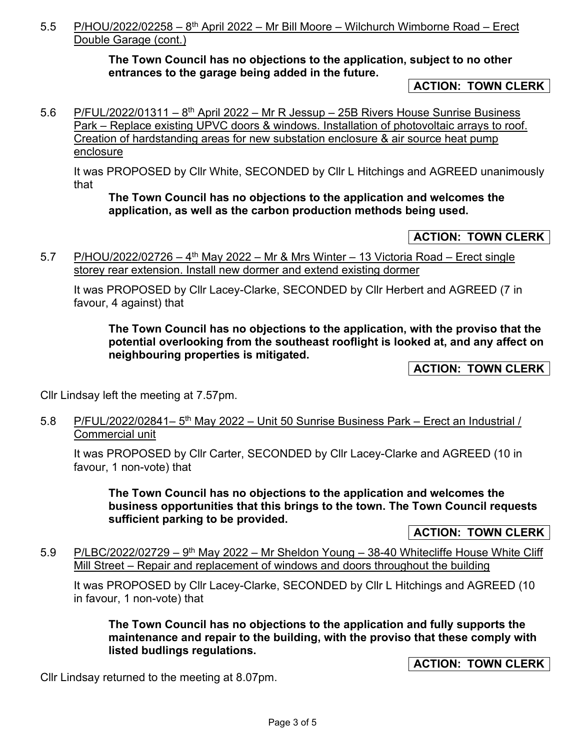# 5.5 P/HOU/2022/02258 –  $8<sup>th</sup>$  April 2022 – Mr Bill Moore – Wilchurch Wimborne Road – Erect Double Garage (cont.)

**The Town Council has no objections to the application, subject to no other entrances to the garage being added in the future.** 

**ACTION: TOWN CLERK** 

5.6 P/FUL/2022/01311 – 8<sup>th</sup> April 2022 – Mr R Jessup – 25B Rivers House Sunrise Business Park – Replace existing UPVC doors & windows. Installation of photovoltaic arrays to roof. Creation of hardstanding areas for new substation enclosure & air source heat pump enclosure

It was PROPOSED by Cllr White, SECONDED by Cllr L Hitchings and AGREED unanimously that

## **The Town Council has no objections to the application and welcomes the application, as well as the carbon production methods being used.**

# **ACTION: TOWN CLERK**

5.7 P/HOU/2022/02726 –  $4<sup>th</sup>$  May 2022 – Mr & Mrs Winter – 13 Victoria Road – Erect single storey rear extension. Install new dormer and extend existing dormer

It was PROPOSED by Cllr Lacey-Clarke, SECONDED by Cllr Herbert and AGREED (7 in favour, 4 against) that

**The Town Council has no objections to the application, with the proviso that the potential overlooking from the southeast rooflight is looked at, and any affect on neighbouring properties is mitigated.** 

**ACTION: TOWN CLERK** 

Cllr Lindsay left the meeting at 7.57pm.

5.8 P/FUL/2022/02841-5<sup>th</sup> May 2022 - Unit 50 Sunrise Business Park - Erect an Industrial / Commercial unit

It was PROPOSED by Cllr Carter, SECONDED by Cllr Lacey-Clarke and AGREED (10 in favour, 1 non-vote) that

**The Town Council has no objections to the application and welcomes the business opportunities that this brings to the town. The Town Council requests sufficient parking to be provided.** 

**ACTION: TOWN CLERK** 

5.9 P/LBC/2022/02729 –  $9<sup>th</sup>$  May 2022 – Mr Sheldon Young – 38-40 Whitecliffe House White Cliff Mill Street – Repair and replacement of windows and doors throughout the building

It was PROPOSED by Cllr Lacey-Clarke, SECONDED by Cllr L Hitchings and AGREED (10 in favour, 1 non-vote) that

**The Town Council has no objections to the application and fully supports the maintenance and repair to the building, with the proviso that these comply with listed budlings regulations.** 

**ACTION: TOWN CLERK** 

Cllr Lindsay returned to the meeting at 8.07pm.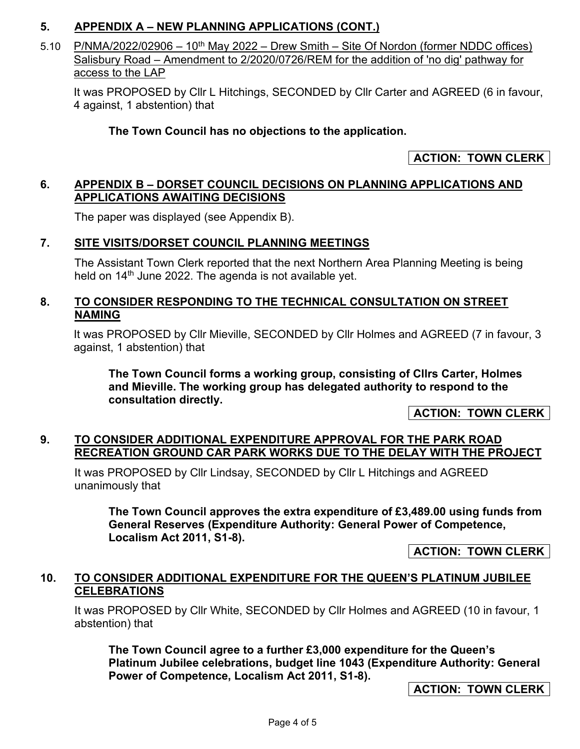# **5. APPENDIX A – NEW PLANNING APPLICATIONS (CONT.)**

5.10 P/NMA/2022/02906 – 10<sup>th</sup> May 2022 – Drew Smith – Site Of Nordon (former NDDC offices) Salisbury Road – Amendment to 2/2020/0726/REM for the addition of 'no dig' pathway for access to the LAP

It was PROPOSED by Cllr L Hitchings, SECONDED by Cllr Carter and AGREED (6 in favour, 4 against, 1 abstention) that

# **The Town Council has no objections to the application.**

# **ACTION: TOWN CLERK**

## **6. APPENDIX B – DORSET COUNCIL DECISIONS ON PLANNING APPLICATIONS AND APPLICATIONS AWAITING DECISIONS**

The paper was displayed (see Appendix B).

### **7. SITE VISITS/DORSET COUNCIL PLANNING MEETINGS**

The Assistant Town Clerk reported that the next Northern Area Planning Meeting is being held on 14<sup>th</sup> June 2022. The agenda is not available yet.

## **8. TO CONSIDER RESPONDING TO THE TECHNICAL CONSULTATION ON STREET NAMING**

It was PROPOSED by Cllr Mieville, SECONDED by Cllr Holmes and AGREED (7 in favour, 3 against, 1 abstention) that

**The Town Council forms a working group, consisting of Cllrs Carter, Holmes and Mieville. The working group has delegated authority to respond to the consultation directly.** 

**ACTION: TOWN CLERK** 

### **9. TO CONSIDER ADDITIONAL EXPENDITURE APPROVAL FOR THE PARK ROAD RECREATION GROUND CAR PARK WORKS DUE TO THE DELAY WITH THE PROJECT**

It was PROPOSED by Cllr Lindsay, SECONDED by Cllr L Hitchings and AGREED unanimously that

**The Town Council approves the extra expenditure of £3,489.00 using funds from General Reserves (Expenditure Authority: General Power of Competence, Localism Act 2011, S1-8).**

**ACTION: TOWN CLERK** 

# **10. TO CONSIDER ADDITIONAL EXPENDITURE FOR THE QUEEN'S PLATINUM JUBILEE CELEBRATIONS**

It was PROPOSED by Cllr White, SECONDED by Cllr Holmes and AGREED (10 in favour, 1 abstention) that

**The Town Council agree to a further £3,000 expenditure for the Queen's Platinum Jubilee celebrations, budget line 1043 (Expenditure Authority: General Power of Competence, Localism Act 2011, S1-8).** 

**ACTION: TOWN CLERK**